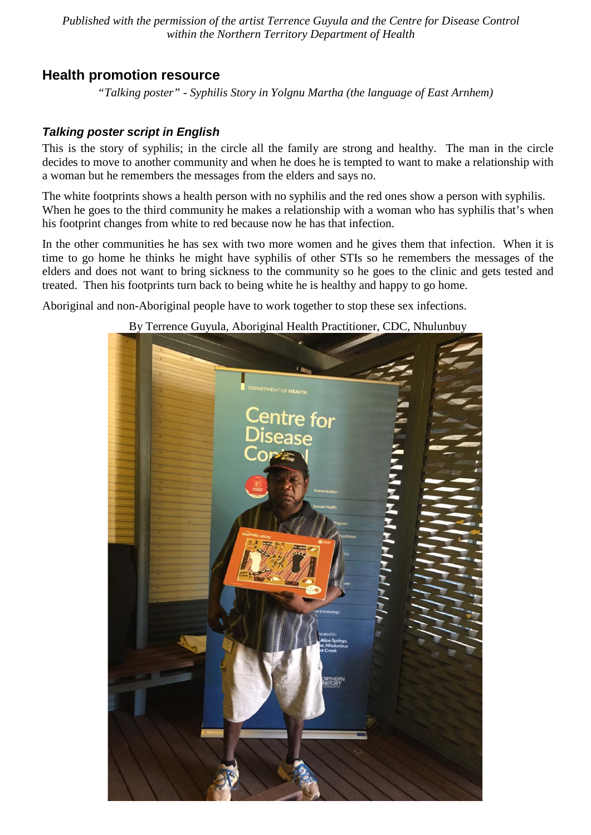*Published with the permission of the artist Terrence Guyula and the Centre for Disease Control within the Northern Territory Department of Health* 

# **Health promotion resource**

*"Talking poster" - Syphilis Story in Yolgnu Martha (the language of East Arnhem)*

## *Talking poster script in English*

This is the story of syphilis; in the circle all the family are strong and healthy. The man in the circle decides to move to another community and when he does he is tempted to want to make a relationship with a woman but he remembers the messages from the elders and says no.

The white footprints shows a health person with no syphilis and the red ones show a person with syphilis. When he goes to the third community he makes a relationship with a woman who has syphilis that's when his footprint changes from white to red because now he has that infection.

In the other communities he has sex with two more women and he gives them that infection. When it is time to go home he thinks he might have syphilis of other STIs so he remembers the messages of the elders and does not want to bring sickness to the community so he goes to the clinic and gets tested and treated. Then his footprints turn back to being white he is healthy and happy to go home.

Aboriginal and non-Aboriginal people have to work together to stop these sex infections.

#### By Terrence Guyula, Aboriginal Health Practitioner, CDC, Nhulunbuy